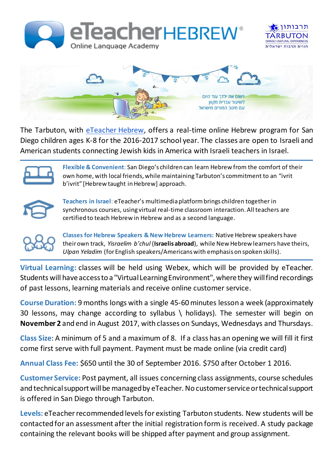





T[h](http://eteachergroup.com/)e Tarbuton, with *[eTeacher](http://eteachergroup.com/) Hebrew*, offers a real-time online Hebrew program for San Diego children ages K-8 for the 2016-2017 school year. The classes are open to Israeli and American students connecting Jewish kids in America with Israeli teachers in Israel.

**Flexible & Convenient**: San Diego's children can learn Hebrew from the comfort of their own home, with local friends, while maintaining Tarbuton's commitment to an "ivrit b'ivrit" [Hebrew taught in Hebrew] approach.



**Teachers in Israel**: eTeacher's multimedia platform brings children together in synchronous courses, using virtual real-time classroom interaction. All teachers are certified to teach Hebrew in Hebrew and as a second language.



**Classes for Hebrew Speakers & New Hebrew Learners:** Native Hebrew speakers have their own track, *Yisraelim b'chul* (**Israelis abroad**), while New Hebrew learners have theirs, *Ulpan Yeladim* (for English speakers/Americans with emphasis on spoken skills).

**Virtual Learning:** classes will be held using Webex, which will be provided by eTeacher. Students will have access to a "Virtual Learning Environment", where they will find recordings of past lessons, learning materials and receive online customer service.

**Course Duration:** 9 months longs with a single 45-60 minutes lesson a week (approximately 30 lessons, may change according to syllabus \ holidays). The semester will begin on **November 2** and end in August 2017, with classes on Sundays, Wednesdays and Thursdays.

**Class Size**: A minimum of 5 and a maximum of 8. If a class has an opening we will fill it first come first serve with full payment. Payment must be made online (via credit card)

**Annual Class Fee:** \$650 until the 30 of September 2016. \$750 after October 1 2016.

**Customer Service:** Post payment, all issues concerning class assignments, course schedules and technical support will be managed by eTeacher. No customer service or technical support is offered in San Diego through Tarbuton.

**Levels:** eTeacher recommended levels for existing Tarbuton students. New students will be contacted for an assessment after the initial registration form is received. A study package containing the relevant books will be shipped after payment and group assignment.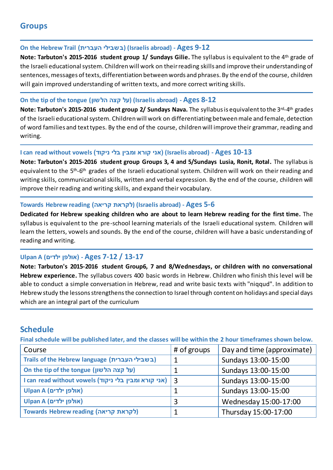# **Groups**

## **On the Hebrew Trail )העברית בשבילי) (Israelis abroad) - Ages 9-12**

**Note: Tarbuton's 2015-2016 student group 1/ Sundays Gilie.** The syllabus is equivalent to the 4th grade of the Israeli educational system. Children will work on their reading skills and improve their understanding of sentences, messages of texts, differentiation between words and phrases. By the end of the course, children will gain improved understanding of written texts, and more correct writing skills.

## **On the tip of the tongue (הלשון קצה על) (Israelis abroad) - Ages 8-12**

**Note: Tarbuton's 2015-2016 student group 2/ Sundays Nava.** The syllabus is equivalent to the 3rd-4 th grades of the Israeli educational system. Children will work on differentiating between male and female, detection of word families and text types. By the end of the course, children will improve their grammar, reading and writing.

## **I can read without vowels )ניקוד בלי ומבין קורא אני) )Israelis abroad) - Ages 10-13**

**Note: Tarbuton's 2015-2016 student group Groups 3, 4 and 5/Sundays Lusia, Ronit, Rotal.** The syllabus is equivalent to the 5<sup>th</sup>-6<sup>th</sup> grades of the Israeli educational system. Children will work on their reading and writing skills, communicational skills, written and verbal expression. By the end of the course, children will improve their reading and writing skills, and expand their vocabulary.

## **Towards Hebrew reading )קריאה לקראת) (Israelis abroad) - Ages 5-6**

**Dedicated for Hebrew speaking children who are about to learn Hebrew reading for the first time.** The syllabus is equivalent to the pre-school learning materials of the Israeli educational system. Children will learn the letters, vowels and sounds. By the end of the course, children will have a basic understanding of reading and writing.

# **Ulpan A (ילדים אולפן )- Ages 7-12 / 13-17**

**Note: Tarbuton's 2015-2016 student Group6, 7 and 8/Wednesdays, or children with no conversational Hebrew experience.** The syllabus covers 400 basic words in Hebrew. Children who finish this level will be able to conduct a simple conversation in Hebrew, read and write basic texts with "niqqud". In addition to Hebrew study the lessons strengthens the connection to Israel through content on holidays and special days which are an integral part of the curriculum

# **Schedule**

**Final schedule will be published later, and the classes will be within the 2 hour timeframes shown below.**

| Course                                                   | # of groups | Day and time (approximate) |
|----------------------------------------------------------|-------------|----------------------------|
| Trails of the Hebrew language (בשבילי העברית)            |             | Sundays 13:00-15:00        |
| On the tip of the tongue (על קצה הלשון)                  |             | Sundays 13:00-15:00        |
| I can read without vowels (אני קורא ומבין בלי ניקוד)   3 |             | Sundays 13:00-15:00        |
| Ulpan A (אולפן ילדים)                                    |             | Sundays 13:00-15:00        |
| Ulpan A (אולפן ילדים)                                    |             | Wednesday 15:00-17:00      |
| Towards Hebrew reading (לקראת קריאה)                     |             | Thursday 15:00-17:00       |